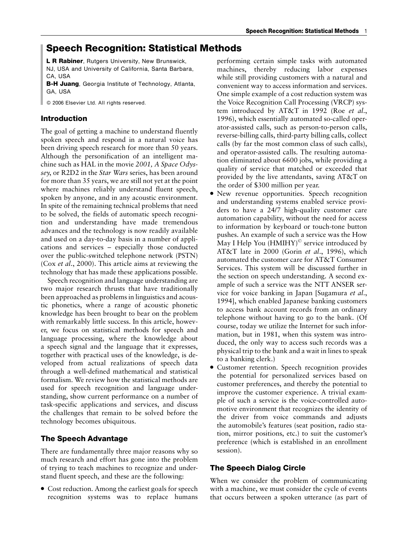# Speech Recognition: Statistical Methods

L R Rabiner, Rutgers University, New Brunswick, NJ, USA and University of California, Santa Barbara, CA, USA

**B-H Juang**, Georgia Institute of Technology, Atlanta, GA, USA

2006 Elsevier Ltd. All rights reserved.

## Introduction

The goal of getting a machine to understand fluently spoken speech and respond in a natural voice has been driving speech research for more than 50 years. Although the personification of an intelligent machine such as HAL in the movie 2001, A Space Odyssey, or R2D2 in the Star Wars series, has been around for more than 35 years, we are still not yet at the point where machines reliably understand fluent speech, spoken by anyone, and in any acoustic environment. In spite of the remaining technical problems that need to be solved, the fields of automatic speech recognition and understanding have made tremendous advances and the technology is now readily available and used on a day-to-day basis in a number of applications and services – especially those conducted over the public-switched telephone network (PSTN) (Cox et al., 2000). This article aims at reviewing the technology that has made these applications possible.

Speech recognition and language understanding are two major research thrusts that have traditionally been approached as problems in linguistics and acoustic phonetics, where a range of acoustic phonetic knowledge has been brought to bear on the problem with remarkably little success. In this article, however, we focus on statistical methods for speech and language processing, where the knowledge about a speech signal and the language that it expresses, together with practical uses of the knowledge, is developed from actual realizations of speech data through a well-defined mathematical and statistical formalism. We review how the statistical methods are used for speech recognition and language understanding, show current performance on a number of task-specific applications and services, and discuss the challenges that remain to be solved before the technology becomes ubiquitous.

## The Speech Advantage

There are fundamentally three major reasons why so much research and effort has gone into the problem of trying to teach machines to recognize and understand fluent speech, and these are the following:

. Cost reduction. Among the earliest goals for speech recognition systems was to replace humans performing certain simple tasks with automated machines, thereby reducing labor expenses while still providing customers with a natural and convenient way to access information and services. One simple example of a cost reduction system was the Voice Recognition Call Processing (VRCP) system introduced by AT&T in 1992 (Roe et al., 1996), which essentially automated so-called operator-assisted calls, such as person-to-person calls, reverse-billing calls, third-party billing calls, collect calls (by far the most common class of such calls), and operator-assisted calls. The resulting automation eliminated about 6600 jobs, while providing a quality of service that matched or exceeded that provided by the live attendants, saving AT&T on the order of \$300 million per year.

- . New revenue opportunities. Speech recognition and understanding systems enabled service providers to have a 24/7 high-quality customer care automation capability, without the need for access to information by keyboard or touch-tone button pushes. An example of such a service was the How May I Help You  $(HMIHY)$ <sup>©</sup> service introduced by AT&T late in 2000 (Gorin et al., 1996), which automated the customer care for AT&T Consumer Services. This system will be discussed further in the section on speech understanding. A second example of such a service was the NTT ANSER service for voice banking in Japan [Sugamura et al., 1994], which enabled Japanese banking customers to access bank account records from an ordinary telephone without having to go to the bank. (Of course, today we utilize the Internet for such information, but in 1981, when this system was introduced, the only way to access such records was a physical trip to the bank and a wait in lines to speak to a banking clerk.)
- . Customer retention. Speech recognition provides the potential for personalized services based on customer preferences, and thereby the potential to improve the customer experience. A trivial example of such a service is the voice-controlled automotive environment that recognizes the identity of the driver from voice commands and adjusts the automobile's features (seat position, radio station, mirror positions, etc.) to suit the customer's preference (which is established in an enrollment session).

## The Speech Dialog Circle

When we consider the problem of communicating with a machine, we must consider the cycle of events that occurs between a spoken utterance (as part of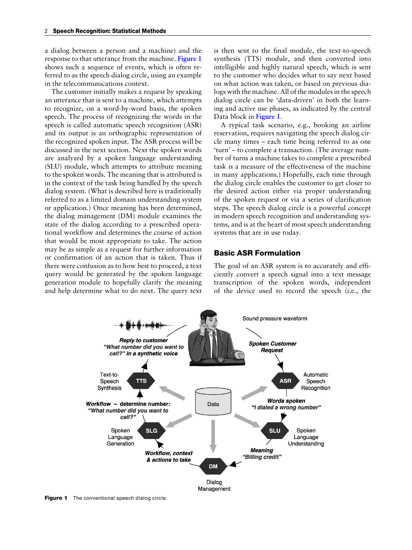a dialog between a person and a machine) and the response to that utterance from the machine. Figure 1 shows such a sequence of events, which is often referred to as the speech dialog circle, using an example in the telecommunications context.

The customer initially makes a request by speaking an utterance that is sent to a machine, which attempts to recognize, on a word-by-word basis, the spoken speech. The process of recognizing the words in the speech is called automatic speech recognition (ASR) and its output is an orthographic representation of the recognized spoken input. The ASR process will be discussed in the next section. Next the spoken words are analyzed by a spoken language understanding (SLU) module, which attempts to attribute meaning to the spoken words. The meaning that is attributed is in the context of the task being handled by the speech dialog system. (What is described here is traditionally referred to as a limited domain understanding system or application.) Once meaning has been determined, the dialog management (DM) module examines the state of the dialog according to a prescribed operational workflow and determines the course of action that would be most appropriate to take. The action may be as simple as a request for further information or confirmation of an action that is taken. Thus if there were confusion as to how best to proceed, a text query would be generated by the spoken language generation module to hopefully clarify the meaning and help determine what to do next. The query text is then sent to the final module, the text-to-speech synthesis (TTS) module, and then converted into intelligible and highly natural speech, which is sent to the customer who decides what to say next based on what action was taken, or based on previous dialogs with the machine. All of the modules in the speech dialog circle can be 'data-driven' in both the learning and active use phases, as indicated by the central Data block in Figure 1.

A typical task scenario, e.g., booking an airline reservation, requires navigating the speech dialog circle many times – each time being referred to as one 'turn' – to complete a transaction. (The average number of turns a machine takes to complete a prescribed task is a measure of the effectiveness of the machine in many applications.) Hopefully, each time through the dialog circle enables the customer to get closer to the desired action either via proper understanding of the spoken request or via a series of clarification steps. The speech dialog circle is a powerful concept in modern speech recognition and understanding systems, and is at the heart of most speech understanding systems that are in use today.

### Basic ASR Formulation

The goal of an ASR system is to accurately and efficiently convert a speech signal into a text message transcription of the spoken words, independent of the device used to record the speech (i.e., the



Figure 1 The conventional speech dialog circle.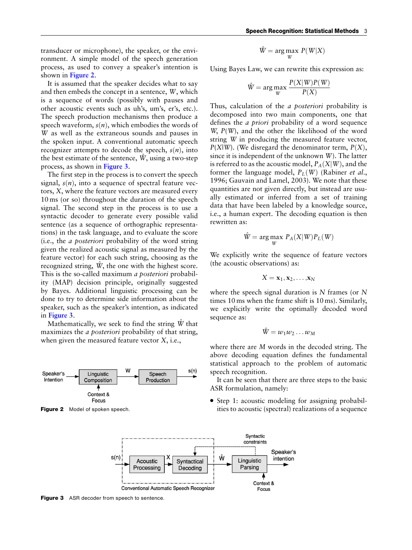transducer or microphone), the speaker, or the environment. A simple model of the speech generation process, as used to convey a speaker's intention is shown in Figure 2.

It is assumed that the speaker decides what to say and then embeds the concept in a sentence, W, which is a sequence of words (possibly with pauses and other acoustic events such as uh's, um's, er's, etc.). The speech production mechanisms then produce a speech waveform,  $s(n)$ , which embodies the words of W as well as the extraneous sounds and pauses in the spoken input. A conventional automatic speech recognizer attempts to decode the speech,  $s(n)$ , into the best estimate of the sentence,  $\hat{W}$ , using a two-step process, as shown in Figure 3.

The first step in the process is to convert the speech signal,  $s(n)$ , into a sequence of spectral feature vectors, X, where the feature vectors are measured every 10 ms (or so) throughout the duration of the speech signal. The second step in the process is to use a syntactic decoder to generate every possible valid sentence (as a sequence of orthographic representations) in the task language, and to evaluate the score (i.e., the a posteriori probability of the word string given the realized acoustic signal as measured by the feature vector) for each such string, choosing as the recognized string,  $\hat{W}$ , the one with the highest score. This is the so-called maximum *a posteriori* probability (MAP) decision principle, originally suggested by Bayes. Additional linguistic processing can be done to try to determine side information about the speaker, such as the speaker's intention, as indicated in Figure 3.

Mathematically, we seek to find the string  $\hat{W}$  that maximizes the *a posteriori* probability of that string, when given the measured feature vector  $X$ , i.e.,



$$
\hat{W} = \underset{W}{\text{arg max}} P(W|X)
$$

Using Bayes Law, we can rewrite this expression as:

$$
\hat{W} = \arg\max_{W} \frac{P(X|W)P(W)}{P(X)}
$$

Thus, calculation of the a posteriori probability is decomposed into two main components, one that defines the a priori probability of a word sequence W,  $P(W)$ , and the other the likelihood of the word string W in producing the measured feature vector,  $P(X|W)$ . (We disregard the denominator term,  $P(X)$ , since it is independent of the unknown W). The latter is referred to as the acoustic model,  $P_A(X|W)$ , and the former the language model,  $P_L(W)$  (Rabiner *et al.*, 1996; Gauvain and Lamel, 2003). We note that these quantities are not given directly, but instead are usually estimated or inferred from a set of training data that have been labeled by a knowledge source, i.e., a human expert. The decoding equation is then rewritten as:

$$
\hat{W} = \underset{W}{\arg\max} \ P_A(X|W) P_L(W)
$$

We explicitly write the sequence of feature vectors (the acoustic observations) as:

$$
X = \mathbf{x}_1, \mathbf{x}_2, \dots, \mathbf{x}_N
$$

where the speech signal duration is  $N$  frames (or  $N$ times 10 ms when the frame shift is 10 ms). Similarly, we explicitly write the optimally decoded word sequence as:

$$
\hat{W} = w_1 w_2 \dots w_M
$$

where there are M words in the decoded string. The above decoding equation defines the fundamental statistical approach to the problem of automatic speech recognition.

It can be seen that there are three steps to the basic ASR formulation, namely:

. Step 1: acoustic modeling for assigning probabil-**Figure 2** Model of spoken speech. **ities to acoustic (spectral) realizations of a sequence** ities to acoustic (spectral) realizations of a sequence



Figure 3 ASR decoder from speech to sentence.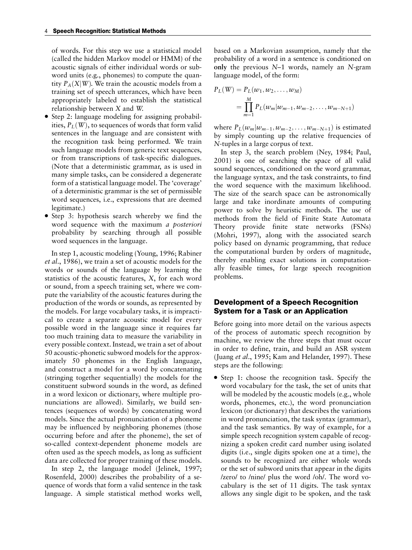of words. For this step we use a statistical model (called the hidden Markov model or HMM) of the acoustic signals of either individual words or subword units (e.g., phonemes) to compute the quantity  $P_A(X|W)$ . We train the acoustic models from a training set of speech utterances, which have been appropriately labeled to establish the statistical relationship between X and W.

- . Step 2: language modeling for assigning probabilities,  $P_L(W)$ , to sequences of words that form valid sentences in the language and are consistent with the recognition task being performed. We train such language models from generic text sequences, or from transcriptions of task-specific dialogues. (Note that a deterministic grammar, as is used in many simple tasks, can be considered a degenerate form of a statistical language model. The 'coverage' of a deterministic grammar is the set of permissible word sequences, i.e., expressions that are deemed legitimate.)
- Step 3: hypothesis search whereby we find the word sequence with the maximum a posteriori probability by searching through all possible word sequences in the language.

In step 1, acoustic modeling (Young, 1996; Rabiner et al., 1986), we train a set of acoustic models for the words or sounds of the language by learning the statistics of the acoustic features, X, for each word or sound, from a speech training set, where we compute the variability of the acoustic features during the production of the words or sounds, as represented by the models. For large vocabulary tasks, it is impractical to create a separate acoustic model for every possible word in the language since it requires far too much training data to measure the variability in every possible context. Instead, we train a set of about 50 acoustic-phonetic subword models for the approximately 50 phonemes in the English language, and construct a model for a word by concatenating (stringing together sequentially) the models for the constituent subword sounds in the word, as defined in a word lexicon or dictionary, where multiple pronunciations are allowed). Similarly, we build sentences (sequences of words) by concatenating word models. Since the actual pronunciation of a phoneme may be influenced by neighboring phonemes (those occurring before and after the phoneme), the set of so-called context-dependent phoneme models are often used as the speech models, as long as sufficient data are collected for proper training of these models.

In step 2, the language model (Jelinek, 1997; Rosenfeld, 2000) describes the probability of a sequence of words that form a valid sentence in the task language. A simple statistical method works well, based on a Markovian assumption, namely that the probability of a word in a sentence is conditioned on only the previous  $N-1$  words, namely an N-gram language model, of the form:

$$
P_L(W) = P_L(w_1, w_2, \dots, w_M)
$$
  
= 
$$
\prod_{m=1}^{M} P_L(w_m | w_{m-1}, w_{m-2}, \dots, w_{m-N+1})
$$

where  $P_L(w_m|w_{m-1}, w_{m-2}, \ldots, w_{m-N+1})$  is estimated by simply counting up the relative frequencies of N-tuples in a large corpus of text.

In step 3, the search problem (Ney, 1984; Paul, 2001) is one of searching the space of all valid sound sequences, conditioned on the word grammar, the language syntax, and the task constraints, to find the word sequence with the maximum likelihood. The size of the search space can be astronomically large and take inordinate amounts of computing power to solve by heuristic methods. The use of methods from the field of Finite State Automata Theory provide finite state networks (FSNs) (Mohri, 1997), along with the associated search policy based on dynamic programming, that reduce the computational burden by orders of magnitude, thereby enabling exact solutions in computationally feasible times, for large speech recognition problems.

### Development of a Speech Recognition System for a Task or an Application

Before going into more detail on the various aspects of the process of automatic speech recognition by machine, we review the three steps that must occur in order to define, train, and build an ASR system (Juang *et al.*, 1995; Kam and Helander, 1997). These steps are the following:

. Step 1: choose the recognition task. Specify the word vocabulary for the task, the set of units that will be modeled by the acoustic models (e.g., whole words, phonemes, etc.), the word pronunciation lexicon (or dictionary) that describes the variations in word pronunciation, the task syntax (grammar), and the task semantics. By way of example, for a simple speech recognition system capable of recognizing a spoken credit card number using isolated digits (i.e., single digits spoken one at a time), the sounds to be recognized are either whole words or the set of subword units that appear in the digits /zero/ to /nine/ plus the word /oh/. The word vocabulary is the set of 11 digits. The task syntax allows any single digit to be spoken, and the task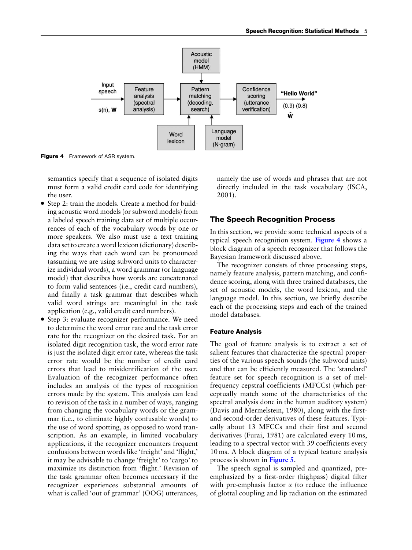

Figure 4 Framework of ASR system.

semantics specify that a sequence of isolated digits must form a valid credit card code for identifying the user.

- . Step 2: train the models. Create a method for building acoustic word models (or subword models) from a labeled speech training data set of multiple occurrences of each of the vocabulary words by one or more speakers. We also must use a text training data set to create a word lexicon (dictionary) describing the ways that each word can be pronounced (assuming we are using subword units to characterize individual words), a word grammar (or language model) that describes how words are concatenated to form valid sentences (i.e., credit card numbers), and finally a task grammar that describes which valid word strings are meaningful in the task application (e.g., valid credit card numbers).
- . Step 3: evaluate recognizer performance. We need to determine the word error rate and the task error rate for the recognizer on the desired task. For an isolated digit recognition task, the word error rate is just the isolated digit error rate, whereas the task error rate would be the number of credit card errors that lead to misidentification of the user. Evaluation of the recognizer performance often includes an analysis of the types of recognition errors made by the system. This analysis can lead to revision of the task in a number of ways, ranging from changing the vocabulary words or the grammar (i.e., to eliminate highly confusable words) to the use of word spotting, as opposed to word transcription. As an example, in limited vocabulary applications, if the recognizer encounters frequent confusions between words like 'freight' and 'flight,' it may be advisable to change 'freight' to 'cargo' to maximize its distinction from 'flight.' Revision of the task grammar often becomes necessary if the recognizer experiences substantial amounts of what is called 'out of grammar' (OOG) utterances,

namely the use of words and phrases that are not directly included in the task vocabulary (ISCA, 2001).

### The Speech Recognition Process

In this section, we provide some technical aspects of a typical speech recognition system. Figure 4 shows a block diagram of a speech recognizer that follows the Bayesian framework discussed above.

The recognizer consists of three processing steps, namely feature analysis, pattern matching, and confidence scoring, along with three trained databases, the set of acoustic models, the word lexicon, and the language model. In this section, we briefly describe each of the processing steps and each of the trained model databases.

#### Feature Analysis

The goal of feature analysis is to extract a set of salient features that characterize the spectral properties of the various speech sounds (the subword units) and that can be efficiently measured. The 'standard' feature set for speech recognition is a set of melfrequency cepstral coefficients (MFCCs) (which perceptually match some of the characteristics of the spectral analysis done in the human auditory system) (Davis and Mermelstein, 1980), along with the firstand second-order derivatives of these features. Typically about 13 MFCCs and their first and second derivatives (Furai, 1981) are calculated every 10 ms, leading to a spectral vector with 39 coefficients every 10 ms. A block diagram of a typical feature analysis process is shown in [Figure 5](#page-5-0).

The speech signal is sampled and quantized, preemphasized by a first-order (highpass) digital filter with pre-emphasis factor  $\alpha$  (to reduce the influence of glottal coupling and lip radiation on the estimated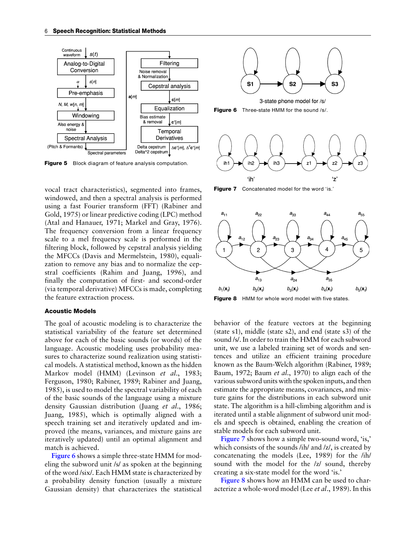<span id="page-5-0"></span>

Figure 5 Block diagram of feature analysis computation.

vocal tract characteristics), segmented into frames, windowed, and then a spectral analysis is performed using a fast Fourier transform (FFT) (Rabiner and Gold, 1975) or linear predictive coding (LPC) method (Atal and Hanauer, 1971; Markel and Gray, 1976). The frequency conversion from a linear frequency scale to a mel frequency scale is performed in the filtering block, followed by cepstral analysis yielding the MFCCs (Davis and Mermelstein, 1980), equalization to remove any bias and to normalize the cepstral coefficients (Rahim and Juang, 1996), and finally the computation of first- and second-order (via temporal derivative) MFCCs is made, completing the feature extraction process.

#### Acoustic Models

The goal of acoustic modeling is to characterize the statistical variability of the feature set determined above for each of the basic sounds (or words) of the language. Acoustic modeling uses probability measures to characterize sound realization using statistical models. A statistical method, known as the hidden Markov model (HMM) (Levinson et al., 1983; Ferguson, 1980; Rabiner, 1989; Rabiner and Juang, 1985), is used to model the spectral variability of each of the basic sounds of the language using a mixture density Gaussian distribution (Juang et al., 1986; Juang, 1985), which is optimally aligned with a speech training set and iteratively updated and improved (the means, variances, and mixture gains are iteratively updated) until an optimal alignment and match is achieved.

Figure 6 shows a simple three-state HMM for modeling the subword unit /s/ as spoken at the beginning of the word /six/. Each HMM state is characterized by a probability density function (usually a mixture Gaussian density) that characterizes the statistical



Figure 6 Three-state HMM for the sound /s/.



Figure 7 Concatenated model for the word 'is.'



Figure 8 HMM for whole word model with five states

behavior of the feature vectors at the beginning (state s1), middle (state s2), and end (state s3) of the sound /s/. In order to train the HMM for each subword unit, we use a labeled training set of words and sentences and utilize an efficient training procedure known as the Baum-Welch algorithm (Rabiner, 1989; Baum, 1972; Baum et al., 1970) to align each of the various subword units with the spoken inputs, and then estimate the appropriate means, covariances, and mixture gains for the distributions in each subword unit state. The algorithm is a hill-climbing algorithm and is iterated until a stable alignment of subword unit models and speech is obtained, enabling the creation of stable models for each subword unit.

Figure 7 shows how a simple two-sound word, 'is,' which consists of the sounds /ih/ and /z/, is created by concatenating the models (Lee, 1989) for the /ih/ sound with the model for the /z/ sound, thereby creating a six-state model for the word 'is.'

Figure 8 shows how an HMM can be used to characterize a whole-word model (Lee *et al.*, 1989). In this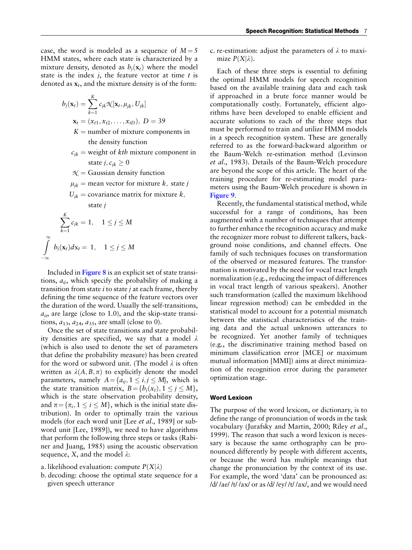case, the word is modeled as a sequence of  $M = 5$ HMM states, where each state is characterized by a mixture density, denoted as  $b_i(\mathbf{x}_t)$  where the model state is the index  $j$ , the feature vector at time  $t$  is denoted as  $x_t$ , and the mixture density is of the form:

$$
b_j(\mathbf{x}_t) = \sum_{k=1}^K c_{jk} \mathcal{K}[\mathbf{x}_t, \mu_{jk}, U_{jk}]
$$
  

$$
\mathbf{x}_t = (x_{t1}, x_{t2}, \dots, x_{tD}), D = 39
$$
  

$$
K = \text{number of mixture components in}
$$

the density function

- $c_{ik}$  = weight of kth mixture component in state  $j, c_{ik} \geq 0$
- $N =$  Gaussian density function
- $\mu_{ik}$  = mean vector for mixture k, state j
- $U_{ik}$  = covariance matrix for mixture k, state j

$$
\sum_{k=1}^{K} c_{jk} = 1, \quad 1 \le j \le M
$$

$$
\int_{-\infty}^{\infty} b_j(\mathbf{x}_t) d\mathbf{x}_t = 1, \quad 1 \le j \le M
$$

Included in [Figure 8](#page-5-0) is an explicit set of state transitions,  $a_{ii}$ , which specify the probability of making a transition from state  $i$  to state  $j$  at each frame, thereby defining the time sequence of the feature vectors over the duration of the word. Usually the self-transitions,  $a_{ii}$ , are large (close to 1.0), and the skip-state transitions,  $a_{13}$ ,  $a_{24}$ ,  $a_{35}$ , are small (close to 0).

Once the set of state transitions and state probability densities are specified, we say that a model  $\lambda$ (which is also used to denote the set of parameters that define the probability measure) has been created for the word or subword unit. (The model  $\lambda$  is often written as  $\lambda(A, B, \pi)$  to explicitly denote the model parameters, namely  $A = \{a_{ij}, 1 \le i, j \le M\}$ , which is the state transition matrix,  $B = \{b_j(x_t), 1 \le j \le M\},$ which is the state observation probability density, and  $\pi\!=\!\{\pi_i, 1\leq i\leq M\},$  which is the initial state distribution). In order to optimally train the various models (for each word unit [Lee et al., 1989] or subword unit [Lee, 1989]), we need to have algorithms that perform the following three steps or tasks (Rabiner and Juang, 1985) using the acoustic observation sequence,  $X$ , and the model  $\lambda$ :

- a. likelihood evaluation: compute  $P(X|\lambda)$
- b. decoding: choose the optimal state sequence for a given speech utterance

c. re-estimation: adjust the parameters of  $\lambda$  to maximize  $P(X|\lambda)$ .

Each of these three steps is essential to defining the optimal HMM models for speech recognition based on the available training data and each task if approached in a brute force manner would be computationally costly. Fortunately, efficient algorithms have been developed to enable efficient and accurate solutions to each of the three steps that must be performed to train and utilize HMM models in a speech recognition system. These are generally referred to as the forward-backward algorithm or the Baum-Welch re-estimation method (Levinson et al., 1983). Details of the Baum-Welch procedure are beyond the scope of this article. The heart of the training procedure for re-estimating model parameters using the Baum-Welch procedure is shown in [Figure 9](#page-7-0).

Recently, the fundamental statistical method, while successful for a range of conditions, has been augmented with a number of techniques that attempt to further enhance the recognition accuracy and make the recognizer more robust to different talkers, background noise conditions, and channel effects. One family of such techniques focuses on transformation of the observed or measured features. The transformation is motivated by the need for vocal tract length normalization (e.g., reducing the impact of differences in vocal tract length of various speakers). Another such transformation (called the maximum likelihood linear regression method) can be embedded in the statistical model to account for a potential mismatch between the statistical characteristics of the training data and the actual unknown utterances to be recognized. Yet another family of techniques (e.g., the discriminative training method based on minimum classification error [MCE] or maximum mutual information [MMI]) aims at direct minimization of the recognition error during the parameter optimization stage.

#### Word Lexicon

The purpose of the word lexicon, or dictionary, is to define the range of pronunciation of words in the task vocabulary (Jurafsky and Martin, 2000; Riley et al., 1999). The reason that such a word lexicon is necessary is because the same orthography can be pronounced differently by people with different accents, or because the word has multiple meanings that change the pronunciation by the context of its use. For example, the word 'data' can be pronounced as: /d/ /ae/ /t/ /ax/ or as /d/ /ey/ /t/ /ax/, and we would need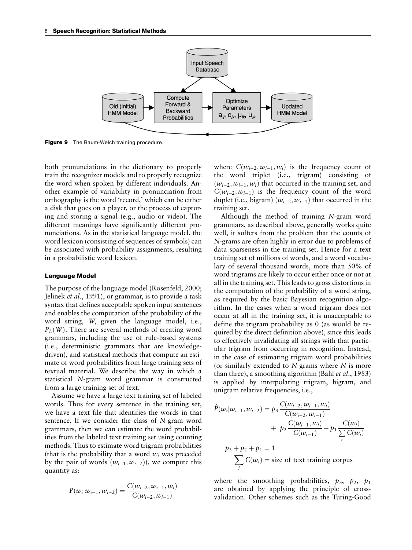<span id="page-7-0"></span>

**Figure 9** The Baum-Welch training procedure.

both pronunciations in the dictionary to properly train the recognizer models and to properly recognize the word when spoken by different individuals. Another example of variability in pronunciation from orthography is the word 'record,' which can be either a disk that goes on a player, or the process of capturing and storing a signal (e.g., audio or video). The different meanings have significantly different pronunciations. As in the statistical language model, the word lexicon (consisting of sequences of symbols) can be associated with probability assignments, resulting in a probabilistic word lexicon.

#### Language Model

The purpose of the language model (Rosenfeld, 2000; Jelinek et al., 1991), or grammar, is to provide a task syntax that defines acceptable spoken input sentences and enables the computation of the probability of the word string, W, given the language model, i.e.,  $P_L(W)$ . There are several methods of creating word grammars, including the use of rule-based systems (i.e., deterministic grammars that are knowledgedriven), and statistical methods that compute an estimate of word probabilities from large training sets of textual material. We describe the way in which a statistical N-gram word grammar is constructed from a large training set of text.

Assume we have a large text training set of labeled words. Thus for every sentence in the training set, we have a text file that identifies the words in that sentence. If we consider the class of N-gram word grammars, then we can estimate the word probabilities from the labeled text training set using counting methods. Thus to estimate word trigram probabilities (that is the probability that a word  $w_i$  was preceded by the pair of words  $(w_{i-1}, w_{i-2})$ , we compute this quantity as:

$$
P(w_i|w_{i-1}, w_{i-2}) = \frac{C(w_{i-2}, w_{i-1}, w_i)}{C(w_{i-2}, w_{i-1})}
$$

where  $C(w_{i-2}, w_{i-1}, w_i)$  is the frequency count of the word triplet (i.e., trigram) consisting of  $(w_{i-2}, w_{i-1}, w_i)$  that occurred in the training set, and  $C(w_{i-2}, w_{i-1})$  is the frequency count of the word duplet (i.e., bigram)  $(w_{i-2}, w_{i-1})$  that occurred in the training set.

Although the method of training N-gram word grammars, as described above, generally works quite well, it suffers from the problem that the counts of N-grams are often highly in error due to problems of data sparseness in the training set. Hence for a text training set of millions of words, and a word vocabulary of several thousand words, more than 50% of word trigrams are likely to occur either once or not at all in the training set. This leads to gross distortions in the computation of the probability of a word string, as required by the basic Bayesian recognition algorithm. In the cases when a word trigram does not occur at all in the training set, it is unacceptable to define the trigram probability as 0 (as would be required by the direct definition above), since this leads to effectively invalidating all strings with that particular trigram from occurring in recognition. Instead, in the case of estimating trigram word probabilities (or similarly extended to  $N$ -grams where  $N$  is more than three), a smoothing algorithm (Bahl *et al.*, 1983) is applied by interpolating trigram, bigram, and unigram relative frequencies, i.e.,

$$
\hat{P}(w_i|w_{i-1}, w_{i-2}) = p_3 \frac{C(w_{i-2}, w_{i-1}, w_i)}{C(w_{i-2}, w_{i-1})} \n+ p_2 \frac{C(w_{i-1}, w_i)}{C(w_{i-1})} + p_1 \frac{C(w_i)}{\sum\limits_{i} C(w_i)} \np_3 + p_2 + p_1 = 1 \n\sum\limits_{i} C(w_i) = \text{size of text training corpus}
$$

where the smoothing probabilities,  $p_3$ ,  $p_2$ ,  $p_1$ are obtained by applying the principle of crossvalidation. Other schemes such as the Turing-Good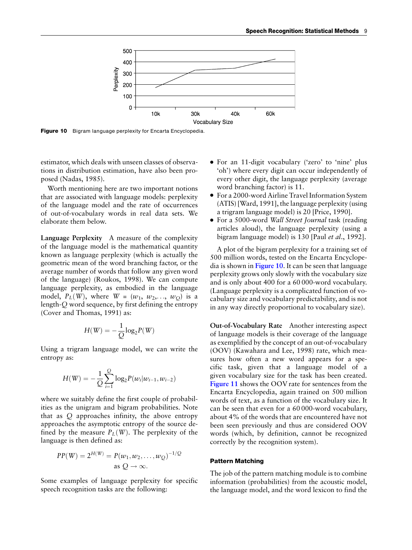

Figure 10 Bigram language perplexity for Encarta Encyclopedia.

estimator, which deals with unseen classes of observations in distribution estimation, have also been proposed (Nadas, 1985).

Worth mentioning here are two important notions that are associated with language models: perplexity of the language model and the rate of occurrences of out-of-vocabulary words in real data sets. We elaborate them below.

Language Perplexity A measure of the complexity of the language model is the mathematical quantity known as language perplexity (which is actually the geometric mean of the word branching factor, or the average number of words that follow any given word of the language) (Roukos, 1998). We can compute language perplexity, as embodied in the language model,  $P_L(\mathbf{W})$ , where  $\mathbf{W} = (w_1, w_2, \dots, w_N)$  is a length-Q word sequence, by first defining the entropy (Cover and Thomas, 1991) as:

$$
H(\mathbf{W}) = -\frac{1}{Q} \text{log}_2 P(\mathbf{W})
$$

Using a trigram language model, we can write the entropy as:

$$
H(W) = -\frac{1}{Q} \sum_{i=1}^{Q} \log_2 P(w_i | w_{i-1}, w_{i-2})
$$

where we suitably define the first couple of probabilities as the unigram and bigram probabilities. Note that as Q approaches infinity, the above entropy approaches the asymptotic entropy of the source defined by the measure  $P_L(W)$ . The perplexity of the language is then defined as:

$$
PP(W) = 2^{H(W)} = P(w_1, w_2, ..., w_Q)^{-1/Q}
$$
  
as  $Q \to \infty$ .

Some examples of language perplexity for specific speech recognition tasks are the following:

- . For an 11-digit vocabulary ('zero' to 'nine' plus 'oh') where every digit can occur independently of every other digit, the language perplexity (average word branching factor) is 11.
- . For a 2000-word Airline Travel Information System (ATIS) [Ward, 1991], the language perplexity (using a trigram language model) is 20 [Price, 1990].
- For a 5000-word Wall Street Journal task (reading articles aloud), the language perplexity (using a bigram language model) is 130 [Paul *et al.*, 1992].

A plot of the bigram perplexity for a training set of 500 million words, tested on the Encarta Encyclopedia is shown in Figure 10. It can be seen that language perplexity grows only slowly with the vocabulary size and is only about 400 for a 60 000-word vocabulary. (Language perplexity is a complicated function of vocabulary size and vocabulary predictability, and is not in any way directly proportional to vocabulary size).

Out-of-Vocabulary Rate Another interesting aspect of language models is their coverage of the language as exemplified by the concept of an out-of-vocabulary (OOV) (Kawahara and Lee, 1998) rate, which measures how often a new word appears for a specific task, given that a language model of a given vocabulary size for the task has been created. [Figure 11](#page-9-0) shows the OOV rate for sentences from the Encarta Encyclopedia, again trained on 500 million words of text, as a function of the vocabulary size. It can be seen that even for a 60 000-word vocabulary, about 4% of the words that are encountered have not been seen previously and thus are considered OOV words (which, by definition, cannot be recognized correctly by the recognition system).

#### Pattern Matching

The job of the pattern matching module is to combine information (probabilities) from the acoustic model, the language model, and the word lexicon to find the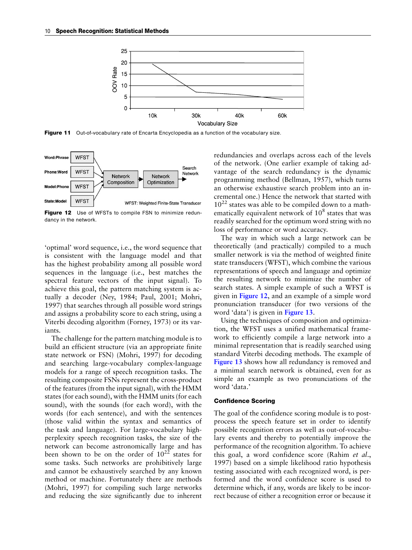<span id="page-9-0"></span>

Figure 11 Out-of-vocabulary rate of Encarta Encyclopedia as a function of the vocabulary size.



Figure 12 Use of WFSTs to compile FSN to minimize redundancy in the network.

'optimal' word sequence, i.e., the word sequence that is consistent with the language model and that has the highest probability among all possible word sequences in the language (i.e., best matches the spectral feature vectors of the input signal). To achieve this goal, the pattern matching system is actually a decoder (Ney, 1984; Paul, 2001; Mohri, 1997) that searches through all possible word strings and assigns a probability score to each string, using a Viterbi decoding algorithm (Forney, 1973) or its variants.

The challenge for the pattern matching module is to build an efficient structure (via an appropriate finite state network or FSN) (Mohri, 1997) for decoding and searching large-vocabulary complex-language models for a range of speech recognition tasks. The resulting composite FSNs represent the cross-product of the features (from the input signal), with the HMM states (for each sound), with the HMM units (for each sound), with the sounds (for each word), with the words (for each sentence), and with the sentences (those valid within the syntax and semantics of the task and language). For large-vocabulary highperplexity speech recognition tasks, the size of the network can become astronomically large and has been shown to be on the order of  $10^{22}$  states for some tasks. Such networks are prohibitively large and cannot be exhaustively searched by any known method or machine. Fortunately there are methods (Mohri, 1997) for compiling such large networks and reducing the size significantly due to inherent

redundancies and overlaps across each of the levels of the network. (One earlier example of taking advantage of the search redundancy is the dynamic programming method (Bellman, 1957), which turns an otherwise exhaustive search problem into an incremental one.) Hence the network that started with  $10^{22}$  states was able to be compiled down to a mathematically equivalent network of  $10^8$  states that was readily searched for the optimum word string with no loss of performance or word accuracy.

The way in which such a large network can be theoretically (and practically) compiled to a much smaller network is via the method of weighted finite state transducers (WFST), which combine the various representations of speech and language and optimize the resulting network to minimize the number of search states. A simple example of such a WFST is given in Figure 12, and an example of a simple word pronunciation transducer (for two versions of the word 'data') is given in [Figure 13](#page-10-0).

Using the techniques of composition and optimization, the WFST uses a unified mathematical framework to efficiently compile a large network into a minimal representation that is readily searched using standard Viterbi decoding methods. The example of [Figure 13](#page-10-0) shows how all redundancy is removed and a minimal search network is obtained, even for as simple an example as two pronunciations of the word 'data.'

#### Confidence Scoring

The goal of the confidence scoring module is to postprocess the speech feature set in order to identify possible recognition errors as well as out-of-vocabulary events and thereby to potentially improve the performance of the recognition algorithm. To achieve this goal, a word confidence score (Rahim et al., 1997) based on a simple likelihood ratio hypothesis testing associated with each recognized word, is performed and the word confidence score is used to determine which, if any, words are likely to be incorrect because of either a recognition error or because it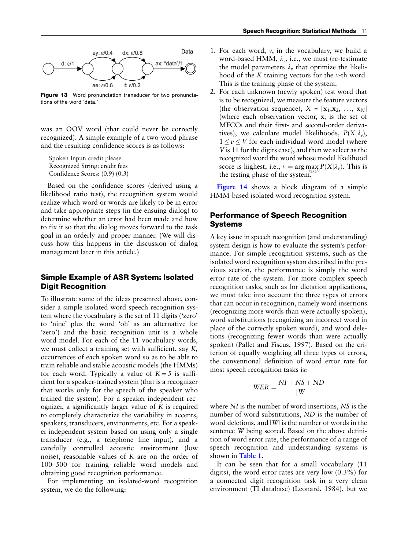<span id="page-10-0"></span>

Figure 13 Word pronunciation transducer for two pronunciations of the word 'data.'

was an OOV word (that could never be correctly recognized). A simple example of a two-word phrase and the resulting confidence scores is as follows:

Spoken Input: credit please Recognized String: credit fees Confidence Scores: (0.9) (0.3)

Based on the confidence scores (derived using a likelihood ratio test), the recognition system would realize which word or words are likely to be in error and take appropriate steps (in the ensuing dialog) to determine whether an error had been made and how to fix it so that the dialog moves forward to the task goal in an orderly and proper manner. (We will discuss how this happens in the discussion of dialog management later in this article.)

## Simple Example of ASR System: Isolated Digit Recognition

To illustrate some of the ideas presented above, consider a simple isolated word speech recognition system where the vocabulary is the set of 11 digits ('zero' to 'nine' plus the word 'oh' as an alternative for 'zero') and the basic recognition unit is a whole word model. For each of the 11 vocabulary words, we must collect a training set with sufficient, say  $K$ , occurrences of each spoken word so as to be able to train reliable and stable acoustic models (the HMMs) for each word. Typically a value of  $K = 5$  is sufficient for a speaker-trained system (that is a recognizer that works only for the speech of the speaker who trained the system). For a speaker-independent recognizer, a significantly larger value of  $K$  is required to completely characterize the variability in accents, speakers, transducers, environments, etc. For a speaker-independent system based on using only a single transducer (e.g., a telephone line input), and a carefully controlled acoustic environment (low noise), reasonable values of K are on the order of 100–500 for training reliable word models and obtaining good recognition performance.

For implementing an isolated-word recognition system, we do the following:

- 1. For each word,  $v$ , in the vocabulary, we build a word-based HMM,  $\lambda_v$ , i.e., we must (re-)estimate the model parameters  $\lambda_{\nu}$  that optimize the likelihood of the  $K$  training vectors for the  $v$ -th word. This is the training phase of the system.
- 2. For each unknown (newly spoken) test word that is to be recognized, we measure the feature vectors (the observation sequence),  $X = [\mathbf{x}_1, \mathbf{x}_2, \dots, \mathbf{x}_N]$ (where each observation vector,  $x_i$  is the set of MFCCs and their first- and second-order derivatives), we calculate model likelihoods,  $P(X|\lambda_{v})$ ,  $1 \le v \le V$  for each individual word model (where V is 11 for the digits case), and then we select as the recognized word the word whose model likelihood score is highest, i.e.,  $v = \arg \max_{1 \le v \le V} P(X|\lambda_v)$ . This is n V the testing phase of the system.

[Figure 14](#page-11-0) shows a block diagram of a simple HMM-based isolated word recognition system.

## Performance of Speech Recognition Systems

A key issue in speech recognition (and understanding) system design is how to evaluate the system's performance. For simple recognition systems, such as the isolated word recognition system described in the previous section, the performance is simply the word error rate of the system. For more complex speech recognition tasks, such as for dictation applications, we must take into account the three types of errors that can occur in recognition, namely word insertions (recognizing more words than were actually spoken), word substitutions (recognizing an incorrect word in place of the correctly spoken word), and word deletions (recognizing fewer words than were actually spoken) (Pallet and Fiscus, 1997). Based on the criterion of equally weighting all three types of errors, the conventional definition of word error rate for most speech recognition tasks is:

$$
WER = \frac{NI + NS + ND}{|W|}
$$

where NI is the number of word insertions, NS is the number of word substitutions, ND is the number of word deletions, and |W| is the number of words in the sentence W being scored. Based on the above definition of word error rate, the performance of a range of speech recognition and understanding systems is shown in [Table 1](#page-11-0).

It can be seen that for a small vocabulary (11 digits), the word error rates are very low (0.3%) for a connected digit recognition task in a very clean environment (TI database) (Leonard, 1984), but we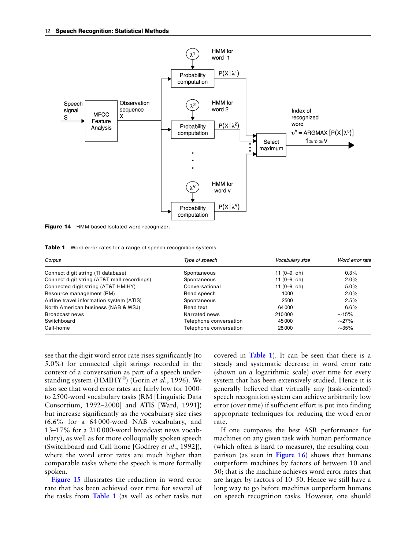<span id="page-11-0"></span>

Figure 14 HMM-based Isolated word recognizer.

| Corpus                                      | Type of speech         | Vocabulary size | Word error rate |
|---------------------------------------------|------------------------|-----------------|-----------------|
| Connect digit string (TI database)          | Spontaneous            | 11 $(0-9, oh)$  | $0.3\%$         |
| Connect digit string (AT&T mall recordings) | Spontaneous            | $11(0-9, oh)$   | $2.0\%$         |
| Connected digit string (AT&T HMIHY)         | Conversational         | $11(0-9, oh)$   | $5.0\%$         |
| Resource management (RM)                    | Read speech            | 1000            | $2.0\%$         |
| Airline travel information system (ATIS)    | Spontaneous            | 2500            | 2.5%            |
| North American business (NAB & WSJ)         | Read text              | 64000           | $6.6\%$         |
| <b>Broadcast news</b>                       | Narrated news          | 210000          | $\sim$ 15%      |
| Switchboard                                 | Telephone conversation | 45000           | $\sim$ 27%      |
| Call-home                                   | Telephone conversation | 28 000          | $\sim$ 35%      |

see that the digit word error rate rises significantly (to 5.0%) for connected digit strings recorded in the context of a conversation as part of a speech understanding system (HMIHY<sup>°</sup>) (Gorin et al., 1996). We also see that word error rates are fairly low for 1000 to 2500-word vocabulary tasks (RM [Linguistic Data Consortium, 1992–2000] and ATIS [Ward, 1991]) but increase significantly as the vocabulary size rises (6.6% for a 64 000-word NAB vocabulary, and 13–17% for a 210 000-word broadcast news vocabulary), as well as for more colloquially spoken speech (Switchboard and Call-home [Godfrey et al., 1992]), where the word error rates are much higher than comparable tasks where the speech is more formally spoken.

[Figure 15](#page-12-0) illustrates the reduction in word error rate that has been achieved over time for several of the tasks from Table 1 (as well as other tasks not covered in Table 1). It can be seen that there is a steady and systematic decrease in word error rate (shown on a logarithmic scale) over time for every system that has been extensively studied. Hence it is generally believed that virtually any (task-oriented) speech recognition system can achieve arbitrarily low error (over time) if sufficient effort is put into finding appropriate techniques for reducing the word error rate.

If one compares the best ASR performance for machines on any given task with human performance (which often is hard to measure), the resulting com-parison (as seen in [Figure 16](#page-12-0)) shows that humans outperform machines by factors of between 10 and 50; that is the machine achieves word error rates that are larger by factors of 10–50. Hence we still have a long way to go before machines outperform humans on speech recognition tasks. However, one should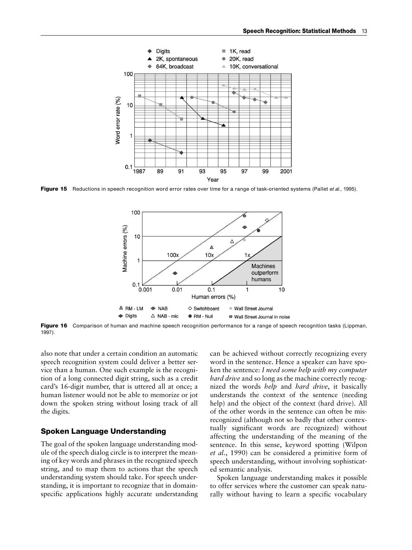<span id="page-12-0"></span>

Figure 15 Reductions in speech recognition word error rates over time for a range of task-oriented systems (Pallet et al., 1995).



Figure 16 Comparison of human and machine speech recognition performance for a range of speech recognition tasks (Lippman, 1997).

also note that under a certain condition an automatic speech recognition system could deliver a better service than a human. One such example is the recognition of a long connected digit string, such as a credit card's 16-digit number, that is uttered all at once; a human listener would not be able to memorize or jot down the spoken string without losing track of all the digits.

### Spoken Language Understanding

The goal of the spoken language understanding module of the speech dialog circle is to interpret the meaning of key words and phrases in the recognized speech string, and to map them to actions that the speech understanding system should take. For speech understanding, it is important to recognize that in domainspecific applications highly accurate understanding can be achieved without correctly recognizing every word in the sentence. Hence a speaker can have spoken the sentence: I need some help with my computer hard drive and so long as the machine correctly recognized the words help and hard drive, it basically understands the context of the sentence (needing help) and the object of the context (hard drive). All of the other words in the sentence can often be misrecognized (although not so badly that other contextually significant words are recognized) without affecting the understanding of the meaning of the sentence. In this sense, keyword spotting (Wilpon et al., 1990) can be considered a primitive form of speech understanding, without involving sophisticated semantic analysis.

Spoken language understanding makes it possible to offer services where the customer can speak naturally without having to learn a specific vocabulary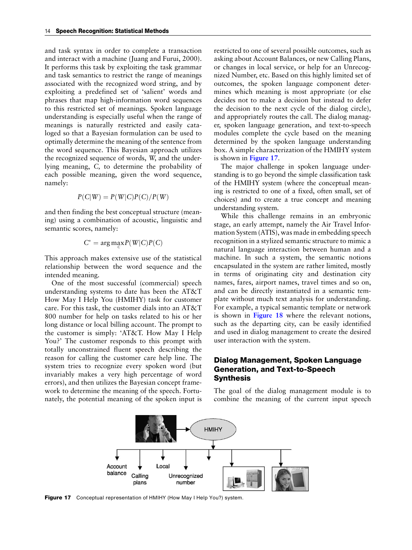and task syntax in order to complete a transaction and interact with a machine (Juang and Furui, 2000). It performs this task by exploiting the task grammar and task semantics to restrict the range of meanings associated with the recognized word string, and by exploiting a predefined set of 'salient' words and phrases that map high-information word sequences to this restricted set of meanings. Spoken language understanding is especially useful when the range of meanings is naturally restricted and easily cataloged so that a Bayesian formulation can be used to optimally determine the meaning of the sentence from the word sequence. This Bayesian approach utilizes the recognized sequence of words, W, and the underlying meaning, C, to determine the probability of each possible meaning, given the word sequence, namely:

$$
P(C|W) = P(W|C)P(C)/P(W)
$$

and then finding the best conceptual structure (meaning) using a combination of acoustic, linguistic and semantic scores, namely:

$$
C^* = \arg\max_C P(W|C)P(C)
$$

This approach makes extensive use of the statistical relationship between the word sequence and the intended meaning.

One of the most successful (commercial) speech understanding systems to date has been the AT&T How May I Help You (HMIHY) task for customer care. For this task, the customer dials into an AT&T 800 number for help on tasks related to his or her long distance or local billing account. The prompt to the customer is simply: 'AT&T. How May I Help You?' The customer responds to this prompt with totally unconstrained fluent speech describing the reason for calling the customer care help line. The system tries to recognize every spoken word (but invariably makes a very high percentage of word errors), and then utilizes the Bayesian concept framework to determine the meaning of the speech. Fortunately, the potential meaning of the spoken input is restricted to one of several possible outcomes, such as asking about Account Balances, or new Calling Plans, or changes in local service, or help for an Unrecognized Number, etc. Based on this highly limited set of outcomes, the spoken language component determines which meaning is most appropriate (or else decides not to make a decision but instead to defer the decision to the next cycle of the dialog circle), and appropriately routes the call. The dialog manager, spoken language generation, and text-to-speech modules complete the cycle based on the meaning determined by the spoken language understanding box. A simple characterization of the HMIHY system is shown in Figure 17.

The major challenge in spoken language understanding is to go beyond the simple classification task of the HMIHY system (where the conceptual meaning is restricted to one of a fixed, often small, set of choices) and to create a true concept and meaning understanding system.

While this challenge remains in an embryonic stage, an early attempt, namely the Air Travel Information System (ATIS), was made in embedding speech recognition in a stylized semantic structure to mimic a natural language interaction between human and a machine. In such a system, the semantic notions encapsulated in the system are rather limited, mostly in terms of originating city and destination city names, fares, airport names, travel times and so on, and can be directly instantiated in a semantic template without much text analysis for understanding. For example, a typical semantic template or network is shown in [Figure 18](#page-14-0) where the relevant notions, such as the departing city, can be easily identified and used in dialog management to create the desired user interaction with the system.

## Dialog Management, Spoken Language Generation, and Text-to-Speech **Synthesis**

The goal of the dialog management module is to combine the meaning of the current input speech



Figure 17 Conceptual representation of HMIHY (How May I Help You?) system.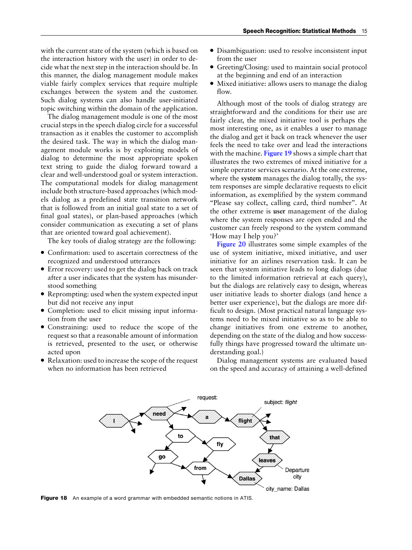<span id="page-14-0"></span>with the current state of the system (which is based on the interaction history with the user) in order to decide what the next step in the interaction should be. In this manner, the dialog management module makes viable fairly complex services that require multiple exchanges between the system and the customer. Such dialog systems can also handle user-initiated topic switching within the domain of the application.

The dialog management module is one of the most crucial steps in the speech dialog circle for a successful transaction as it enables the customer to accomplish the desired task. The way in which the dialog management module works is by exploiting models of dialog to determine the most appropriate spoken text string to guide the dialog forward toward a clear and well-understood goal or system interaction. The computational models for dialog management include both structure-based approaches (which models dialog as a predefined state transition network that is followed from an initial goal state to a set of final goal states), or plan-based approaches (which consider communication as executing a set of plans that are oriented toward goal achievement).

The key tools of dialog strategy are the following:

- . Confirmation: used to ascertain correctness of the recognized and understood utterances
- . Error recovery: used to get the dialog back on track after a user indicates that the system has misunderstood something
- . Reprompting: used when the system expected input but did not receive any input
- . Completion: used to elicit missing input information from the user
- . Constraining: used to reduce the scope of the request so that a reasonable amount of information is retrieved, presented to the user, or otherwise acted upon
- . Relaxation: used to increase the scope of the request when no information has been retrieved
- . Disambiguation: used to resolve inconsistent input from the user
- . Greeting/Closing: used to maintain social protocol at the beginning and end of an interaction
- . Mixed initiative: allows users to manage the dialog flow.

Although most of the tools of dialog strategy are straightforward and the conditions for their use are fairly clear, the mixed initiative tool is perhaps the most interesting one, as it enables a user to manage the dialog and get it back on track whenever the user feels the need to take over and lead the interactions with the machine. [Figure 19](#page-15-0) shows a simple chart that illustrates the two extremes of mixed initiative for a simple operator services scenario. At the one extreme, where the system manages the dialog totally, the system responses are simple declarative requests to elicit information, as exemplified by the system command "Please say collect, calling card, third number". At the other extreme is user management of the dialog where the system responses are open ended and the customer can freely respond to the system command 'How may I help you?'

[Figure 20](#page-15-0) illustrates some simple examples of the use of system initiative, mixed initiative, and user initiative for an airlines reservation task. It can be seen that system initiative leads to long dialogs (due to the limited information retrieval at each query), but the dialogs are relatively easy to design, whereas user initiative leads to shorter dialogs (and hence a better user experience), but the dialogs are more difficult to design. (Most practical natural language systems need to be mixed initiative so as to be able to change initiatives from one extreme to another, depending on the state of the dialog and how successfully things have progressed toward the ultimate understanding goal.)

Dialog management systems are evaluated based on the speed and accuracy of attaining a well-defined



Figure 18 An example of a word grammar with embedded semantic notions in ATIS.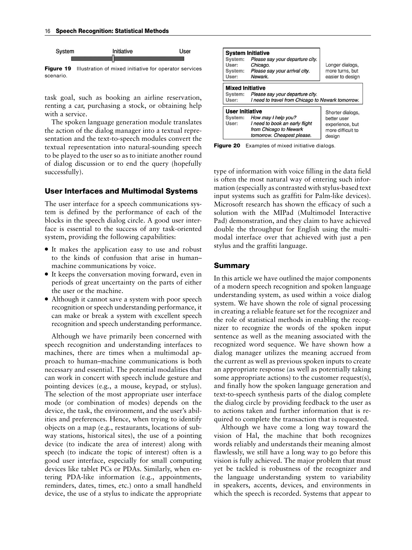<span id="page-15-0"></span>

Figure 19 Illustration of mixed initiative for operator services scenario.

task goal, such as booking an airline reservation, renting a car, purchasing a stock, or obtaining help with a service.

The spoken language generation module translates the action of the dialog manager into a textual representation and the text-to-speech modules convert the textual representation into natural-sounding speech to be played to the user so as to initiate another round of dialog discussion or to end the query (hopefully successfully).

#### User Interfaces and Multimodal Systems

The user interface for a speech communications system is defined by the performance of each of the blocks in the speech dialog circle. A good user interface is essential to the success of any task-oriented system, providing the following capabilities:

- . It makes the application easy to use and robust to the kinds of confusion that arise in human– machine communications by voice.
- . It keeps the conversation moving forward, even in periods of great uncertainty on the parts of either the user or the machine.
- . Although it cannot save a system with poor speech recognition or speech understanding performance, it can make or break a system with excellent speech recognition and speech understanding performance.

Although we have primarily been concerned with speech recognition and understanding interfaces to machines, there are times when a multimodal approach to human–machine communications is both necessary and essential. The potential modalities that can work in concert with speech include gesture and pointing devices (e.g., a mouse, keypad, or stylus). The selection of the most appropriate user interface mode (or combination of modes) depends on the device, the task, the environment, and the user's abilities and preferences. Hence, when trying to identify objects on a map (e.g., restaurants, locations of subway stations, historical sites), the use of a pointing device (to indicate the area of interest) along with speech (to indicate the topic of interest) often is a good user interface, especially for small computing devices like tablet PCs or PDAs. Similarly, when entering PDA-like information (e.g., appointments, reminders, dates, times, etc.) onto a small handheld device, the use of a stylus to indicate the appropriate



Figure 20 Examples of mixed initiative dialogs.

type of information with voice filling in the data field is often the most natural way of entering such information (especially as contrasted with stylus-based text input systems such as graffiti for Palm-like devices). Microsoft research has shown the efficacy of such a solution with the MIPad (Multimodel Interactive Pad) demonstration, and they claim to have achieved double the throughput for English using the multimodal interface over that achieved with just a pen stylus and the graffiti language.

#### **Summary**

In this article we have outlined the major components of a modern speech recognition and spoken language understanding system, as used within a voice dialog system. We have shown the role of signal processing in creating a reliable feature set for the recognizer and the role of statistical methods in enabling the recognizer to recognize the words of the spoken input sentence as well as the meaning associated with the recognized word sequence. We have shown how a dialog manager utilizes the meaning accrued from the current as well as previous spoken inputs to create an appropriate response (as well as potentially taking some appropriate actions) to the customer request(s), and finally how the spoken language generation and text-to-speech synthesis parts of the dialog complete the dialog circle by providing feedback to the user as to actions taken and further information that is required to complete the transaction that is requested.

Although we have come a long way toward the vision of Hal, the machine that both recognizes words reliably and understands their meaning almost flawlessly, we still have a long way to go before this vision is fully achieved. The major problem that must yet be tackled is robustness of the recognizer and the language understanding system to variability in speakers, accents, devices, and environments in which the speech is recorded. Systems that appear to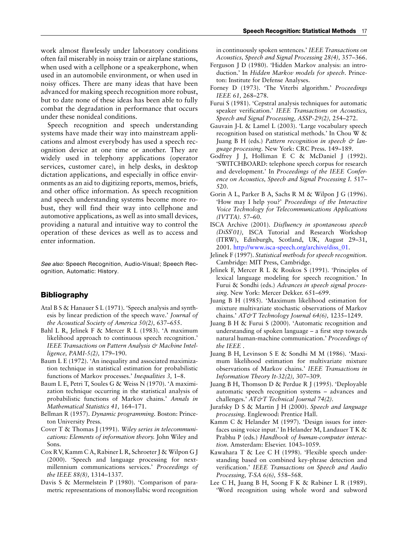work almost flawlessly under laboratory conditions often fail miserably in noisy train or airplane stations, when used with a cellphone or a speakerphone, when used in an automobile environment, or when used in noisy offices. There are many ideas that have been advanced for making speech recognition more robust, but to date none of these ideas has been able to fully combat the degradation in performance that occurs under these nonideal conditions.

Speech recognition and speech understanding systems have made their way into mainstream applications and almost everybody has used a speech recognition device at one time or another. They are widely used in telephony applications (operator services, customer care), in help desks, in desktop dictation applications, and especially in office environments as an aid to digitizing reports, memos, briefs, and other office information. As speech recognition and speech understanding systems become more robust, they will find their way into cellphone and automotive applications, as well as into small devices, providing a natural and intuitive way to control the operation of these devices as well as to access and enter information.

See also: Speech Recognition, Audio-Visual; Speech Recognition, Automatic: History.

## Bibliography

- Atal B S & Hanauer S L (1971). 'Speech analysis and synthesis by linear prediction of the speech wave.' Journal of the Acoustical Society of America 50(2), 637–655.
- Bahl L R, Jelinek F & Mercer R L (1983). 'A maximum likelihood approach to continuous speech recognition.' IEEE Transactions on Pattern Analysis & Machine Intelligence, PAMI-5(2), 179–190.
- Baum L E (1972). 'An inequality and associated maximization technique in statistical estimation for probabilistic functions of Markov processes.' Inequalities 3, 1–8.
- Baum L E, Petri T, Soules G & Weiss N (1970). 'A maximization technique occurring in the statistical analysis of probabilistic functions of Markov chains.' Annals in Mathematical Statistics 41, 164–171.
- Bellman R (1957). Dynamic programming. Boston: Princeton University Press.
- Cover T & Thomas J (1991). Wiley series in telecommunications: Elements of information theory. John Wiley and Sons.
- Cox R V, Kamm C A, Rabiner L R, Schroeter J & Wilpon G J (2000). 'Speech and language processing for nextmillennium communications services.' Proceedings of the IEEE 88(8), 1314–1337.
- Davis S & Mermelstein P (1980). 'Comparison of parametric representations of monosyllabic word recognition

in continuously spoken sentences.' IEEE Transactions on Acoustics, Speech and Signal Processing 28(4), 357–366.

- Ferguson J D (1980). 'Hidden Markov analysis: an introduction.' In Hidden Markov models for speech. Princeton: Institute for Defense Analyses.
- Forney D (1973). 'The Viterbi algorithm.' Proceedings IEEE 61, 268–278.
- Furui S (1981). 'Cepstral analysis techniques for automatic speaker verification.' IEEE Transactions on Acoustics, Speech and Signal Processing, ASSP-29(2), 254–272.
- Gauvain J-L & Lamel L (2003). 'Large vocabulary speech recognition based on statistical methods.' In Chou W & Juang B H (eds.) Pattern recognition in speech  $\phi$  language processing. New York: CRC Press. 149–189.
- Godfrey J J, Holliman E C & McDaniel J (1992). 'SWITCHBOARD: telephone speech corpus for research and development.' In Proceedings of the IEEE Conference on Acoustics, Speech and Signal Processing I. 517– 520.
- Gorin A L, Parker B A, Sachs R M & Wilpon J G (1996). 'How may I help you?' Proceedings of the Interactive Voice Technology for Telecommunications Applications (IVTTA). 57–60.
- ISCA Archive (2001). Disfluency in spontaneous speech (DiSS'01), ISCA Tutorial and Research Workshop (ITRW), Edinburgh, Scotland, UK, August 29–31, 2001. [http://www.isca-speech.org/archive/diss\\_01.](http://www.isca-speech.org/archive/diss_01)
- Jelinek F (1997). Statistical methods for speech recognition. Cambridge: MIT Press, Cambridge.
- Jelinek F, Mercer R L & Roukos S (1991). 'Principles of lexical language modeling for speech recognition.' In Furui & Sondhi (eds.) Advances in speech signal processing. New York: Mercer Dekker. 651–699.
- Juang B H (1985). 'Maximum likelihood estimation for mixture multivariate stochastic observations of Markov chains.' AT&T Technology Journal 64(6), 1235-1249.
- Juang B H & Furui S (2000). 'Automatic recognition and understanding of spoken language – a first step towards natural human-machine communication.' Proceedings of the IEEE .
- Juang B H, Levinson S E & Sondhi M M (1986). 'Maximum likelihood estimation for multivariate mixture observations of Markov chains.' IEEE Transactions in Information Theory It-32(2), 307–309.
- Juang B H, Thomson D & Perdue R J (1995). 'Deployable automatic speech recognition systems – advances and challenges.' AT&T Technical Journal 74(2).
- Jurafsky D S & Martin J H (2000). Speech and language processing. Englewood: Prentice Hall.
- Kamm C & Helander M (1997). 'Design issues for interfaces using voice input.' In Helander M, Landauer T K & Prabhu P (eds.) Handbook of human-computer interaction. Amsterdam: Elsevier. 1043–1059.
- Kawahara T & Lee C H (1998). 'Flexible speech understanding based on combined key-phrase detection and verification.' IEEE Transactions on Speech and Audio Processing, T-SA 6(6), 558–568.
- Lee C H, Juang B H, Soong F K & Rabiner L R (1989). 'Word recognition using whole word and subword